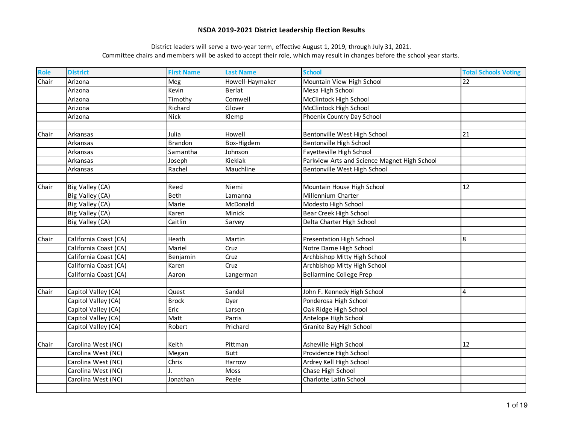| <b>Role</b> | <b>District</b>       | <b>First Name</b> | <b>Last Name</b> | <b>School</b>                                | <b>Total Schools Voting</b> |
|-------------|-----------------------|-------------------|------------------|----------------------------------------------|-----------------------------|
| Chair       | Arizona               | Meg               | Howell-Haymaker  | Mountain View High School                    | 22                          |
|             | Arizona               | Kevin             | <b>Berlat</b>    | Mesa High School                             |                             |
|             | Arizona               | Timothy           | Cornwell         | McClintock High School                       |                             |
|             | Arizona               | Richard           | Glover           | McClintock High School                       |                             |
|             | Arizona               | <b>Nick</b>       | Klemp            | Phoenix Country Day School                   |                             |
|             |                       |                   |                  |                                              |                             |
| Chair       | Arkansas              | Julia             | Howell           | Bentonville West High School                 | 21                          |
|             | Arkansas              | <b>Brandon</b>    | Box-Higdem       | Bentonville High School                      |                             |
|             | Arkansas              | Samantha          | Johnson          | Fayetteville High School                     |                             |
|             | Arkansas              | Joseph            | Kieklak          | Parkview Arts and Science Magnet High School |                             |
|             | Arkansas              | Rachel            | Mauchline        | Bentonville West High School                 |                             |
|             |                       |                   |                  |                                              |                             |
| Chair       | Big Valley (CA)       | Reed              | Niemi            | Mountain House High School                   | 12                          |
|             | Big Valley (CA)       | <b>Beth</b>       | Lamanna          | Millennium Charter                           |                             |
|             | Big Valley (CA)       | Marie             | McDonald         | Modesto High School                          |                             |
|             | Big Valley (CA)       | Karen             | Minick           | Bear Creek High School                       |                             |
|             | Big Valley (CA)       | Caitlin           | Sarvey           | Delta Charter High School                    |                             |
|             |                       |                   |                  |                                              |                             |
| Chair       | California Coast (CA) | Heath             | Martin           | Presentation High School                     | 8                           |
|             | California Coast (CA) | Mariel            | Cruz             | Notre Dame High School                       |                             |
|             | California Coast (CA) | Benjamin          | Cruz             | Archbishop Mitty High School                 |                             |
|             | California Coast (CA) | Karen             | Cruz             | Archbishop Mitty High School                 |                             |
|             | California Coast (CA) | Aaron             | Langerman        | <b>Bellarmine College Prep</b>               |                             |
|             |                       |                   |                  |                                              |                             |
| Chair       | Capitol Valley (CA)   | Quest             | Sandel           | John F. Kennedy High School                  | 4                           |
|             | Capitol Valley (CA)   | <b>Brock</b>      | Dyer             | Ponderosa High School                        |                             |
|             | Capitol Valley (CA)   | Eric              | Larsen           | Oak Ridge High School                        |                             |
|             | Capitol Valley (CA)   | Matt              | Parris           | Antelope High School                         |                             |
|             | Capitol Valley (CA)   | Robert            | Prichard         | Granite Bay High School                      |                             |
|             |                       |                   |                  |                                              |                             |
| Chair       | Carolina West (NC)    | Keith             | Pittman          | Asheville High School                        | 12                          |
|             | Carolina West (NC)    | Megan             | <b>Butt</b>      | Providence High School                       |                             |
|             | Carolina West (NC)    | Chris             | Harrow           | Ardrey Kell High School                      |                             |
|             | Carolina West (NC)    |                   | Moss             | Chase High School                            |                             |
|             | Carolina West (NC)    | Jonathan          | Peele            | Charlotte Latin School                       |                             |
|             |                       |                   |                  |                                              |                             |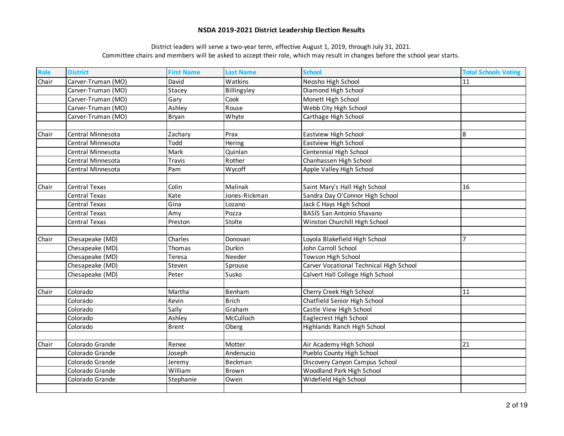| Role  | <b>District</b>      | <b>First Name</b> | <b>Last Name</b> | <b>School</b>                           | <b>Total Schools Voting</b> |
|-------|----------------------|-------------------|------------------|-----------------------------------------|-----------------------------|
| Chair | Carver-Truman (MO)   | David             | Watkins          | Neosho High School                      | 11                          |
|       | Carver-Truman (MO)   | Stacey            | Billingsley      | Diamond High School                     |                             |
|       | Carver-Truman (MO)   | Gary              | Cook             | Monett High School                      |                             |
|       | Carver-Truman (MO)   | Ashley            | Rouse            | Webb City High School                   |                             |
|       | Carver-Truman (MO)   | Bryan             | Whyte            | Carthage High School                    |                             |
|       |                      |                   |                  |                                         |                             |
| Chair | Central Minnesota    | Zachary           | Prax             | Eastview High School                    | 8                           |
|       | Central Minnesota    | Todd              | Hering           | Eastview High School                    |                             |
|       | Central Minnesota    | Mark              | Quinlan          | Centennial High School                  |                             |
|       | Central Minnesota    | <b>Travis</b>     | Rother           | Chanhassen High School                  |                             |
|       | Central Minnesota    | Pam               | Wycoff           | Apple Valley High School                |                             |
|       |                      |                   |                  |                                         |                             |
| Chair | <b>Central Texas</b> | Colin             | Malinak          | Saint Mary's Hall High School           | 16                          |
|       | <b>Central Texas</b> | Kate              | Jones-Rickman    | Sandra Day O'Connor High School         |                             |
|       | Central Texas        | Gina              | Lozano           | Jack C Hays High School                 |                             |
|       | <b>Central Texas</b> | Amy               | Pozza            | <b>BASIS San Antonio Shavano</b>        |                             |
|       | Central Texas        | Preston           | Stolte           | Winston Churchill High School           |                             |
|       |                      |                   |                  |                                         |                             |
| Chair | Chesapeake (MD)      | Charles           | Donovan          | Loyola Blakefield High School           |                             |
|       | Chesapeake (MD)      | Thomas            | Durkin           | John Carroll School                     |                             |
|       | Chesapeake (MD)      | Teresa            | Needer           | Towson High School                      |                             |
|       | Chesapeake (MD)      | Steven            | Sprouse          | Carver Vocational Technical High School |                             |
|       | Chesapeake (MD)      | Peter             | Susko            | Calvert Hall College High School        |                             |
|       |                      |                   |                  |                                         |                             |
| Chair | Colorado             | Martha            | Benham           | Cherry Creek High School                | 11                          |
|       | Colorado             | Kevin             | <b>Brich</b>     | Chatfield Senior High School            |                             |
|       | Colorado             | Sally             | Graham           | Castle View High School                 |                             |
|       | Colorado             | Ashley            | McCulloch        | Eaglecrest High School                  |                             |
|       | Colorado             | <b>Brent</b>      | Oberg            | Highlands Ranch High School             |                             |
|       |                      |                   |                  |                                         |                             |
| Chair | Colorado Grande      | Renee             | Motter           | Air Academy High School                 | 21                          |
|       | Colorado Grande      | Joseph            | Andenucio        | Pueblo County High School               |                             |
|       | Colorado Grande      | Jeremy            | Beckman          | Discovery Canyon Campus School          |                             |
|       | Colorado Grande      | William           | Brown            | <b>Woodland Park High School</b>        |                             |
|       | Colorado Grande      | Stephanie         | Owen             | Widefield High School                   |                             |
|       |                      |                   |                  |                                         |                             |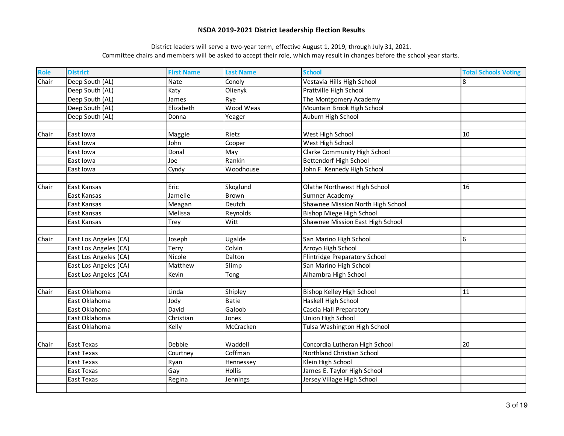| <b>Role</b> | <b>District</b>       | <b>First Name</b> | <b>Last Name</b> | <b>School</b>                     | <b>Total Schools Voting</b> |
|-------------|-----------------------|-------------------|------------------|-----------------------------------|-----------------------------|
| Chair       | Deep South (AL)       | Nate              | Conoly           | Vestavia Hills High School        | 8                           |
|             | Deep South (AL)       | Katy              | Olienyk          | Prattville High School            |                             |
|             | Deep South (AL)       | James             | Rye              | The Montgomery Academy            |                             |
|             | Deep South (AL)       | Elizabeth         | Wood Weas        | Mountain Brook High School        |                             |
|             | Deep South (AL)       | Donna             | Yeager           | Auburn High School                |                             |
|             |                       |                   |                  |                                   |                             |
| Chair       | East Iowa             | Maggie            | Rietz            | West High School                  | 10                          |
|             | East Iowa             | John              | Cooper           | West High School                  |                             |
|             | East lowa             | Donal             | May              | Clarke Community High School      |                             |
|             | East lowa             | Joe               | Rankin           | <b>Bettendorf High School</b>     |                             |
|             | East lowa             | Cyndy             | Woodhouse        | John F. Kennedy High School       |                             |
|             |                       |                   |                  |                                   |                             |
| Chair       | East Kansas           | Eric              | Skoglund         | Olathe Northwest High School      | 16                          |
|             | East Kansas           | Jamelle           | <b>Brown</b>     | Sumner Academy                    |                             |
|             | East Kansas           | Meagan            | Deutch           | Shawnee Mission North High School |                             |
|             | East Kansas           | Melissa           | Reynolds         | <b>Bishop Miege High School</b>   |                             |
|             | East Kansas           | Trey              | Witt             | Shawnee Mission East High School  |                             |
|             |                       |                   |                  |                                   |                             |
| Chair       | East Los Angeles (CA) | Joseph            | Ugalde           | San Marino High School            | 6                           |
|             | East Los Angeles (CA) | Terry             | Colvin           | Arroyo High School                |                             |
|             | East Los Angeles (CA) | Nicole            | Dalton           | Flintridge Preparatory School     |                             |
|             | East Los Angeles (CA) | Matthew           | Slimp            | San Marino High School            |                             |
|             | East Los Angeles (CA) | Kevin             | Tong             | Alhambra High School              |                             |
|             |                       |                   |                  |                                   |                             |
| Chair       | East Oklahoma         | Linda             | Shipley          | Bishop Kelley High School         | 11                          |
|             | East Oklahoma         | Jody              | <b>Batie</b>     | Haskell High School               |                             |
|             | East Oklahoma         | David             | Galoob           | Cascia Hall Preparatory           |                             |
|             | East Oklahoma         | Christian         | Jones            | Union High School                 |                             |
|             | East Oklahoma         | Kelly             | McCracken        | Tulsa Washington High School      |                             |
|             |                       |                   |                  |                                   |                             |
| Chair       | East Texas            | Debbie            | Waddell          | Concordia Lutheran High School    | 20                          |
|             | East Texas            | Courtney          | Coffman          | Northland Christian School        |                             |
|             | East Texas            | Ryan              | Hennessey        | Klein High School                 |                             |
|             | East Texas            | Gay               | Hollis           | James E. Taylor High School       |                             |
|             | East Texas            | Regina            | Jennings         | Jersey Village High School        |                             |
|             |                       |                   |                  |                                   |                             |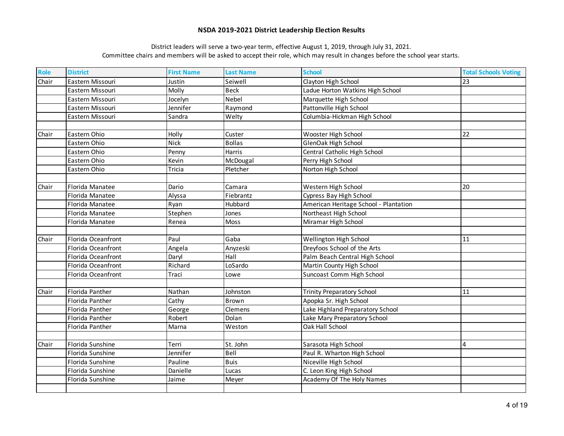| <b>Role</b> | <b>District</b>    | <b>First Name</b> | <b>Last Name</b> | <b>School</b>                         | <b>Total Schools Voting</b> |
|-------------|--------------------|-------------------|------------------|---------------------------------------|-----------------------------|
| Chair       | Eastern Missouri   | Justin            | Seiwell          | Clayton High School                   | 23                          |
|             | Eastern Missouri   | Molly             | <b>Beck</b>      | Ladue Horton Watkins High School      |                             |
|             | Eastern Missouri   | Jocelyn           | <b>Nebel</b>     | Marquette High School                 |                             |
|             | Eastern Missouri   | Jennifer          | Raymond          | Pattonville High School               |                             |
|             | Eastern Missouri   | Sandra            | Welty            | Columbia-Hickman High School          |                             |
|             |                    |                   |                  |                                       |                             |
| Chair       | Eastern Ohio       | Holly             | Custer           | Wooster High School                   | 22                          |
|             | Eastern Ohio       | Nick              | <b>Bollas</b>    | GlenOak High School                   |                             |
|             | Eastern Ohio       | Penny             | Harris           | Central Catholic High School          |                             |
|             | Eastern Ohio       | Kevin             | McDougal         | Perry High School                     |                             |
|             | Eastern Ohio       | Tricia            | Pletcher         | Norton High School                    |                             |
|             |                    |                   |                  |                                       |                             |
| Chair       | Florida Manatee    | Dario             | Camara           | Western High School                   | 20                          |
|             | Florida Manatee    | Alyssa            | Fiebrantz        | Cypress Bay High School               |                             |
|             | Florida Manatee    | Ryan              | Hubbard          | American Heritage School - Plantation |                             |
|             | Florida Manatee    | Stephen           | Jones            | Northeast High School                 |                             |
|             | Florida Manatee    | Renea             | Moss             | Miramar High School                   |                             |
|             |                    |                   |                  |                                       |                             |
| Chair       | Florida Oceanfront | Paul              | Gaba             | Wellington High School                | 11                          |
|             | Florida Oceanfront | Angela            | Anyzeski         | Dreyfoos School of the Arts           |                             |
|             | Florida Oceanfront | Daryl             | Hall             | Palm Beach Central High School        |                             |
|             | Florida Oceanfront | Richard           | LoSardo          | Martin County High School             |                             |
|             | Florida Oceanfront | Traci             | Lowe             | Suncoast Comm High School             |                             |
|             |                    |                   |                  |                                       |                             |
| Chair       | Florida Panther    | Nathan            | Johnston         | <b>Trinity Preparatory School</b>     | 11                          |
|             | Florida Panther    | Cathy             | <b>Brown</b>     | Apopka Sr. High School                |                             |
|             | Florida Panther    | George            | Clemens          | Lake Highland Preparatory School      |                             |
|             | Florida Panther    | Robert            | Dolan            | Lake Mary Preparatory School          |                             |
|             | Florida Panther    | Marna             | Weston           | Oak Hall School                       |                             |
|             |                    |                   |                  |                                       |                             |
| Chair       | Florida Sunshine   | Terri             | St. John         | Sarasota High School                  | 4                           |
|             | Florida Sunshine   | Jennifer          | Bell             | Paul R. Wharton High School           |                             |
|             | Florida Sunshine   | Pauline           | <b>Buis</b>      | Niceville High School                 |                             |
|             | Florida Sunshine   | Danielle          | Lucas            | C. Leon King High School              |                             |
|             | Florida Sunshine   | Jaime             | Meyer            | Academy Of The Holy Names             |                             |
|             |                    |                   |                  |                                       |                             |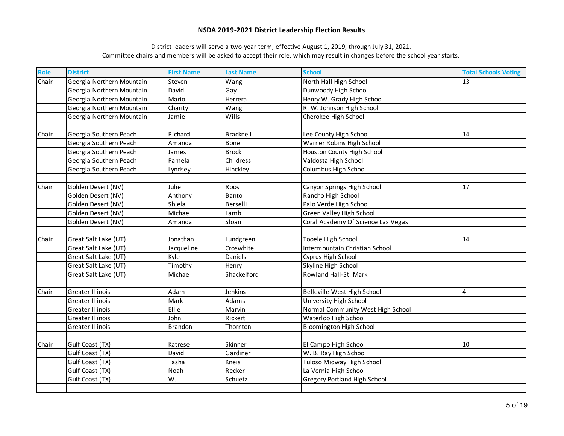| Role  | <b>District</b>           | <b>First Name</b> | <b>Last Name</b> | <b>School</b>                       | <b>Total Schools Voting</b> |
|-------|---------------------------|-------------------|------------------|-------------------------------------|-----------------------------|
| Chair | Georgia Northern Mountain | Steven            | Wang             | North Hall High School              | 13                          |
|       | Georgia Northern Mountain | David             | Gay              | Dunwoody High School                |                             |
|       | Georgia Northern Mountain | Mario             | Herrera          | Henry W. Grady High School          |                             |
|       | Georgia Northern Mountain | Charity           | Wang             | R. W. Johnson High School           |                             |
|       | Georgia Northern Mountain | Jamie             | Wills            | Cherokee High School                |                             |
|       |                           |                   |                  |                                     |                             |
| Chair | Georgia Southern Peach    | Richard           | Bracknell        | Lee County High School              | 14                          |
|       | Georgia Southern Peach    | Amanda            | <b>Bone</b>      | Warner Robins High School           |                             |
|       | Georgia Southern Peach    | James             | <b>Brock</b>     | Houston County High School          |                             |
|       | Georgia Southern Peach    | Pamela            | Childress        | Valdosta High School                |                             |
|       | Georgia Southern Peach    | Lyndsey           | Hinckley         | Columbus High School                |                             |
|       |                           |                   |                  |                                     |                             |
| Chair | Golden Desert (NV)        | Julie             | Roos             | Canyon Springs High School          | 17                          |
|       | Golden Desert (NV)        | Anthony           | Banto            | Rancho High School                  |                             |
|       | Golden Desert (NV)        | Shiela            | Berselli         | Palo Verde High School              |                             |
|       | Golden Desert (NV)        | Michael           | Lamb             | Green Valley High School            |                             |
|       | Golden Desert (NV)        | Amanda            | Sloan            | Coral Academy Of Science Las Vegas  |                             |
|       |                           |                   |                  |                                     |                             |
| Chair | Great Salt Lake (UT)      | Jonathan          | Lundgreen        | Tooele High School                  | 14                          |
|       | Great Salt Lake (UT)      | Jacqueline        | Croswhite        | Intermountain Christian School      |                             |
|       | Great Salt Lake (UT)      | Kyle              | Daniels          | Cyprus High School                  |                             |
|       | Great Salt Lake (UT)      | Timothy           | Henry            | Skyline High School                 |                             |
|       | Great Salt Lake (UT)      | Michael           | Shackelford      | Rowland Hall-St. Mark               |                             |
|       |                           |                   |                  |                                     |                             |
| Chair | <b>Greater Illinois</b>   | Adam              | Jenkins          | Belleville West High School         | 4                           |
|       | <b>Greater Illinois</b>   | Mark              | Adams            | University High School              |                             |
|       | <b>Greater Illinois</b>   | Ellie             | Marvin           | Normal Community West High School   |                             |
|       | <b>Greater Illinois</b>   | John              | Rickert          | Waterloo High School                |                             |
|       | <b>Greater Illinois</b>   | <b>Brandon</b>    | Thornton         | <b>Bloomington High School</b>      |                             |
|       |                           |                   |                  |                                     |                             |
| Chair | Gulf Coast (TX)           | Katrese           | Skinner          | El Campo High School                | 10                          |
|       | Gulf Coast (TX)           | David             | Gardiner         | W. B. Ray High School               |                             |
|       | Gulf Coast (TX)           | Tasha             | Kneis            | Tuloso Midway High School           |                             |
|       | Gulf Coast (TX)           | Noah              | Recker           | La Vernia High School               |                             |
|       | Gulf Coast (TX)           | W.                | Schuetz          | <b>Gregory Portland High School</b> |                             |
|       |                           |                   |                  |                                     |                             |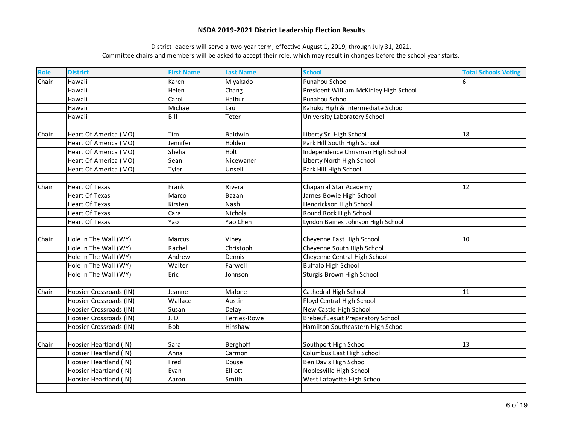| Role  | <b>District</b>         | <b>First Name</b> | <b>Last Name</b> | <b>School</b>                            | <b>Total Schools Voting</b> |
|-------|-------------------------|-------------------|------------------|------------------------------------------|-----------------------------|
| Chair | Hawaii                  | Karen             | Miyakado         | Punahou School                           | 6                           |
|       | Hawaii                  | Helen             | Chang            | President William McKinley High School   |                             |
|       | Hawaii                  | Carol             | Halbur           | Punahou School                           |                             |
|       | Hawaii                  | Michael           | Lau              | Kahuku High & Intermediate School        |                             |
|       | Hawaii                  | Bill              | Teter            | University Laboratory School             |                             |
|       |                         |                   |                  |                                          |                             |
| Chair | Heart Of America (MO)   | Tim               | Baldwin          | Liberty Sr. High School                  | 18                          |
|       | Heart Of America (MO)   | Jennifer          | Holden           | Park Hill South High School              |                             |
|       | Heart Of America (MO)   | Shelia            | Holt             | Independence Chrisman High School        |                             |
|       | Heart Of America (MO)   | Sean              | Nicewaner        | Liberty North High School                |                             |
|       | Heart Of America (MO)   | Tyler             | Unsell           | Park Hill High School                    |                             |
|       |                         |                   |                  |                                          |                             |
| Chair | <b>Heart Of Texas</b>   | Frank             | Rivera           | Chaparral Star Academy                   | 12                          |
|       | <b>Heart Of Texas</b>   | Marco             | Bazan            | James Bowie High School                  |                             |
|       | <b>Heart Of Texas</b>   | Kirsten           | Nash             | Hendrickson High School                  |                             |
|       | <b>Heart Of Texas</b>   | Cara              | Nichols          | Round Rock High School                   |                             |
|       | Heart Of Texas          | Yao               | Yao Chen         | Lyndon Baines Johnson High School        |                             |
|       |                         |                   |                  |                                          |                             |
| Chair | Hole In The Wall (WY)   | <b>Marcus</b>     | Viney            | Cheyenne East High School                | 10                          |
|       | Hole In The Wall (WY)   | Rachel            | Christoph        | Cheyenne South High School               |                             |
|       | Hole In The Wall (WY)   | Andrew            | Dennis           | Cheyenne Central High School             |                             |
|       | Hole In The Wall (WY)   | Walter            | Farwell          | <b>Buffalo High School</b>               |                             |
|       | Hole In The Wall (WY)   | Eric              | Johnson          | Sturgis Brown High School                |                             |
|       |                         |                   |                  |                                          |                             |
| Chair | Hoosier Crossroads (IN) | Jeanne            | Malone           | Cathedral High School                    | 11                          |
|       | Hoosier Crossroads (IN) | Wallace           | Austin           | Floyd Central High School                |                             |
|       | Hoosier Crossroads (IN) | Susan             | Delay            | New Castle High School                   |                             |
|       | Hoosier Crossroads (IN) | J.D.              | Ferries-Rowe     | <b>Brebeuf Jesuit Preparatory School</b> |                             |
|       | Hoosier Crossroads (IN) | <b>Bob</b>        | Hinshaw          | Hamilton Southeastern High School        |                             |
|       |                         |                   |                  |                                          |                             |
| Chair | Hoosier Heartland (IN)  | Sara              | Berghoff         | Southport High School                    | 13                          |
|       | Hoosier Heartland (IN)  | Anna              | Carmon           | Columbus East High School                |                             |
|       | Hoosier Heartland (IN)  | Fred              | Douse            | Ben Davis High School                    |                             |
|       | Hoosier Heartland (IN)  | Evan              | Elliott          | Noblesville High School                  |                             |
|       | Hoosier Heartland (IN)  | Aaron             | Smith            | West Lafayette High School               |                             |
|       |                         |                   |                  |                                          |                             |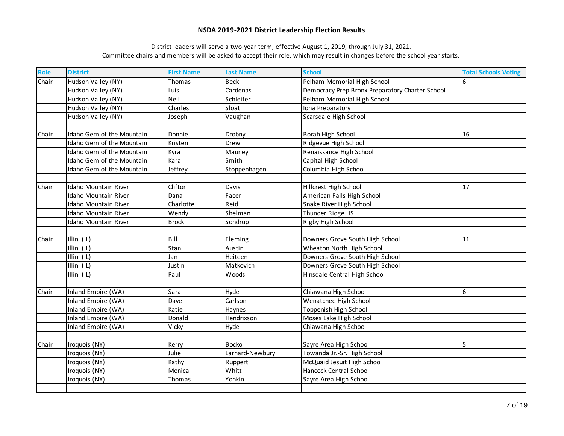| Role  | <b>District</b>             | <b>First Name</b> | <b>Last Name</b> | <b>School</b>                                   | <b>Total Schools Voting</b> |
|-------|-----------------------------|-------------------|------------------|-------------------------------------------------|-----------------------------|
| Chair | Hudson Valley (NY)          | Thomas            | <b>Beck</b>      | Pelham Memorial High School                     | 6                           |
|       | Hudson Valley (NY)          | Luis              | Cardenas         | Democracy Prep Bronx Preparatory Charter School |                             |
|       | Hudson Valley (NY)          | Neil              | Schleifer        | Pelham Memorial High School                     |                             |
|       | Hudson Valley (NY)          | Charles           | Sloat            | Iona Preparatory                                |                             |
|       | Hudson Valley (NY)          | Joseph            | Vaughan          | Scarsdale High School                           |                             |
|       |                             |                   |                  |                                                 |                             |
| Chair | Idaho Gem of the Mountain   | Donnie            | Drobny           | Borah High School                               | 16                          |
|       | Idaho Gem of the Mountain   | Kristen           | Drew             | Ridgevue High School                            |                             |
|       | Idaho Gem of the Mountain   | Kyra              | Mauney           | Renaissance High School                         |                             |
|       | Idaho Gem of the Mountain   | Kara              | Smith            | Capital High School                             |                             |
|       | Idaho Gem of the Mountain   | Jeffrey           | Stoppenhagen     | Columbia High School                            |                             |
|       |                             |                   |                  |                                                 |                             |
| Chair | Idaho Mountain River        | Clifton           | Davis            | Hillcrest High School                           | 17                          |
|       | Idaho Mountain River        | Dana              | Facer            | American Falls High School                      |                             |
|       | <b>Idaho Mountain River</b> | Charlotte         | Reid             | Snake River High School                         |                             |
|       | Idaho Mountain River        | Wendy             | Shelman          | Thunder Ridge HS                                |                             |
|       | <b>Idaho Mountain River</b> | <b>Brock</b>      | Sondrup          | Rigby High School                               |                             |
|       |                             |                   |                  |                                                 |                             |
| Chair | Illini (IL)                 | Bill              | Fleming          | Downers Grove South High School                 | 11                          |
|       | Illini (IL)                 | Stan              | Austin           | Wheaton North High School                       |                             |
|       | Illini (IL)                 | Jan               | Heiteen          | Downers Grove South High School                 |                             |
|       | Illini (IL)                 | Justin            | Matkovich        | Downers Grove South High School                 |                             |
|       | Illini (IL)                 | Paul              | Woods            | Hinsdale Central High School                    |                             |
|       |                             |                   |                  |                                                 |                             |
| Chair | Inland Empire (WA)          | Sara              | Hyde             | Chiawana High School                            | 6                           |
|       | Inland Empire (WA)          | Dave              | Carlson          | Wenatchee High School                           |                             |
|       | Inland Empire (WA)          | Katie             | Haynes           | Toppenish High School                           |                             |
|       | Inland Empire (WA)          | Donald            | Hendrixson       | Moses Lake High School                          |                             |
|       | Inland Empire (WA)          | Vicky             | Hyde             | Chiawana High School                            |                             |
|       |                             |                   |                  |                                                 |                             |
| Chair | Iroquois (NY)               | Kerry             | <b>Bocko</b>     | Sayre Area High School                          | 5                           |
|       | Iroquois (NY)               | Julie             | Larnard-Newbury  | Towanda Jr.-Sr. High School                     |                             |
|       | Iroquois (NY)               | Kathy             | Ruppert          | McQuaid Jesuit High School                      |                             |
|       | Iroquois (NY)               | Monica            | Whitt            | Hancock Central School                          |                             |
|       | Iroquois (NY)               | <b>Thomas</b>     | Yonkin           | Sayre Area High School                          |                             |
|       |                             |                   |                  |                                                 |                             |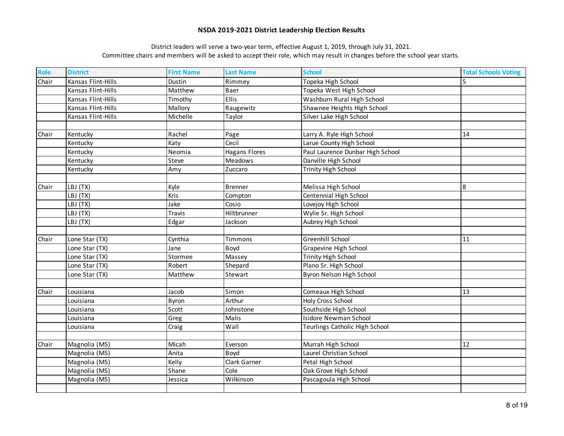| Role  | <b>District</b>    | <b>First Name</b> | <b>Last Name</b>     | <b>School</b>                    | <b>Total Schools Voting</b> |
|-------|--------------------|-------------------|----------------------|----------------------------------|-----------------------------|
| Chair | Kansas Flint-Hills | Dustin            | Rimmey               | Topeka High School               |                             |
|       | Kansas Flint-Hills | Matthew           | Baer                 | Topeka West High School          |                             |
|       | Kansas Flint-Hills | Timothy           | <b>Ellis</b>         | Washburn Rural High School       |                             |
|       | Kansas Flint-Hills | Mallory           | Raugewitz            | Shawnee Heights High School      |                             |
|       | Kansas Flint-Hills | Michelle          | Taylor               | Silver Lake High School          |                             |
|       |                    |                   |                      |                                  |                             |
| Chair | Kentucky           | Rachel            | Page                 | Larry A. Ryle High School        | 14                          |
|       | Kentucky           | Katy              | Cecil                | Larue County High School         |                             |
|       | Kentucky           | Neomia            | <b>Hagans Flores</b> | Paul Laurence Dunbar High School |                             |
|       | Kentucky           | Steve             | <b>Meadows</b>       | Danville High School             |                             |
|       | Kentucky           | Amy               | Zuccaro              | <b>Trinity High School</b>       |                             |
|       |                    |                   |                      |                                  |                             |
| Chair | LBJ (TX)           | Kyle              | <b>Brenner</b>       | Melissa High School              | 8                           |
|       | LBJ (TX)           | Kris              | Compton              | Centennial High School           |                             |
|       | LBJ (TX)           | Jake              | Cosio                | Lovejoy High School              |                             |
|       | LBJ (TX)           | Travis            | Hiltbrunner          | Wylie Sr. High School            |                             |
|       | LBJ (TX)           | Edgar             | Jackson              | Aubrey High School               |                             |
|       |                    |                   |                      |                                  |                             |
| Chair | Lone Star (TX)     | Cynthia           | Timmons              | Greenhill School                 | 11                          |
|       | Lone Star (TX)     | Jane              | Boyd                 | Grapevine High School            |                             |
|       | Lone Star (TX)     | Stormee           | Massey               | <b>Trinity High School</b>       |                             |
|       | Lone Star (TX)     | Robert            | Shepard              | Plano Sr. High School            |                             |
|       | Lone Star (TX)     | Matthew           | Stewart              | Byron Nelson High School         |                             |
|       |                    |                   |                      |                                  |                             |
| Chair | Louisiana          | Jacob             | Simon                | Comeaux High School              | 13                          |
|       | Louisiana          | Byron             | Arthur               | Holy Cross School                |                             |
|       | Louisiana          | Scott             | Johnstone            | Southside High School            |                             |
|       | Louisiana          | Greg              | Malis                | <b>Isidore Newman School</b>     |                             |
|       | Louisiana          | Craig             | Wall                 | Teurlings Catholic High School   |                             |
|       |                    |                   |                      |                                  |                             |
| Chair | Magnolia (MS)      | Micah             | Everson              | Murrah High School               | 12                          |
|       | Magnolia (MS)      | Anita             | Boyd                 | Laurel Christian School          |                             |
|       | Magnolia (MS)      | Kelly             | Clark Garner         | Petal High School                |                             |
|       | Magnolia (MS)      | Shane             | Cole                 | Oak Grove High School            |                             |
|       | Magnolia (MS)      | Jessica           | Wilkinson            | Pascagoula High School           |                             |
|       |                    |                   |                      |                                  |                             |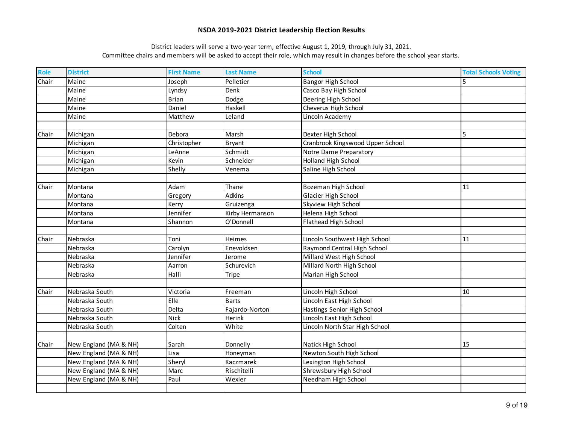| Role  | <b>District</b>       | <b>First Name</b> | <b>Last Name</b> | <b>School</b>                    | <b>Total Schools Voting</b> |
|-------|-----------------------|-------------------|------------------|----------------------------------|-----------------------------|
| Chair | Maine                 | Joseph            | Pelletier        | <b>Bangor High School</b>        |                             |
|       | Maine                 | Lyndsy            | Denk             | Casco Bay High School            |                             |
|       | Maine                 | <b>Brian</b>      | Dodge            | Deering High School              |                             |
|       | Maine                 | Daniel            | Haskell          | Cheverus High School             |                             |
|       | Maine                 | Matthew           | Leland           | Lincoln Academy                  |                             |
|       |                       |                   |                  |                                  |                             |
| Chair | Michigan              | Debora            | Marsh            | Dexter High School               | 5                           |
|       | Michigan              | Christopher       | <b>Bryant</b>    | Cranbrook Kingswood Upper School |                             |
|       | Michigan              | LeAnne            | Schmidt          | Notre Dame Preparatory           |                             |
|       | Michigan              | Kevin             | Schneider        | Holland High School              |                             |
|       | Michigan              | Shelly            | Venema           | Saline High School               |                             |
|       |                       |                   |                  |                                  |                             |
| Chair | Montana               | Adam              | Thane            | Bozeman High School              | 11                          |
|       | Montana               | Gregory           | Adkins           | Glacier High School              |                             |
|       | Montana               | Kerry             | Gruizenga        | Skyview High School              |                             |
|       | Montana               | Jennifer          | Kirby Hermanson  | Helena High School               |                             |
|       | Montana               | Shannon           | O'Donnell        | Flathead High School             |                             |
|       |                       |                   |                  |                                  |                             |
| Chair | Nebraska              | Toni              | <b>Heimes</b>    | Lincoln Southwest High School    | 11                          |
|       | Nebraska              | Carolyn           | Enevoldsen       | Raymond Central High School      |                             |
|       | Nebraska              | Jennifer          | Jerome           | Millard West High School         |                             |
|       | Nebraska              | Aarron            | Schurevich       | Millard North High School        |                             |
|       | Nebraska              | Halli             | Tripe            | Marian High School               |                             |
|       |                       |                   |                  |                                  |                             |
| Chair | Nebraska South        | Victoria          | Freeman          | Lincoln High School              | 10                          |
|       | Nebraska South        | Elle              | <b>Barts</b>     | Lincoln East High School         |                             |
|       | Nebraska South        | Delta             | Fajardo-Norton   | Hastings Senior High School      |                             |
|       | Nebraska South        | <b>Nick</b>       | Herink           | Lincoln East High School         |                             |
|       | Nebraska South        | Colten            | White            | Lincoln North Star High School   |                             |
|       |                       |                   |                  |                                  |                             |
| Chair | New England (MA & NH) | Sarah             | Donnelly         | Natick High School               | 15                          |
|       | New England (MA & NH) | Lisa              | Honeyman         | Newton South High School         |                             |
|       | New England (MA & NH) | Sheryl            | Kaczmarek        | Lexington High School            |                             |
|       | New England (MA & NH) | Marc              | Rischitelli      | Shrewsbury High School           |                             |
|       | New England (MA & NH) | Paul              | Wexler           | Needham High School              |                             |
|       |                       |                   |                  |                                  |                             |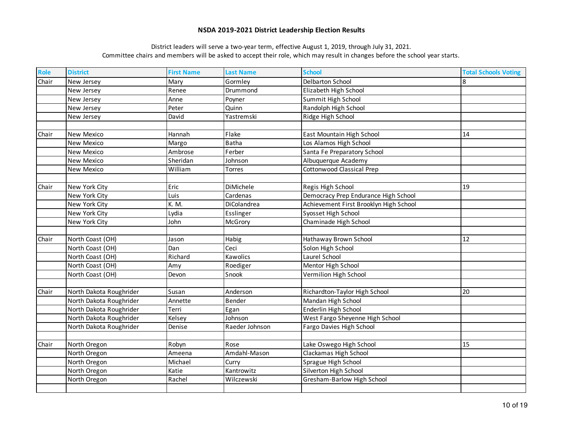| Role  | <b>District</b>         | <b>First Name</b> | <b>Last Name</b> | <b>School</b>                          | <b>Total Schools Voting</b> |
|-------|-------------------------|-------------------|------------------|----------------------------------------|-----------------------------|
| Chair | New Jersey              | Mary              | Gormley          | <b>Delbarton School</b>                | 8                           |
|       | New Jersey              | Renee             | Drummond         | Elizabeth High School                  |                             |
|       | New Jersey              | Anne              | Poyner           | Summit High School                     |                             |
|       | New Jersey              | Peter             | Quinn            | Randolph High School                   |                             |
|       | New Jersey              | David             | Yastremski       | Ridge High School                      |                             |
|       |                         |                   |                  |                                        |                             |
| Chair | New Mexico              | Hannah            | Flake            | East Mountain High School              | 14                          |
|       | New Mexico              | Margo             | <b>Batha</b>     | Los Alamos High School                 |                             |
|       | New Mexico              | Ambrose           | Ferber           | Santa Fe Preparatory School            |                             |
|       | New Mexico              | Sheridan          | Johnson          | Albuquerque Academy                    |                             |
|       | New Mexico              | William           | Torres           | <b>Cottonwood Classical Prep</b>       |                             |
|       |                         |                   |                  |                                        |                             |
| Chair | New York City           | Eric              | DiMichele        | Regis High School                      | 19                          |
|       | New York City           | Luis              | Cardenas         | Democracy Prep Endurance High School   |                             |
|       | New York City           | K. M.             | DiColandrea      | Achievement First Brooklyn High School |                             |
|       | New York City           | Lydia             | Esslinger        | Syosset High School                    |                             |
|       | New York City           | John              | McGrory          | Chaminade High School                  |                             |
|       |                         |                   |                  |                                        |                             |
| Chair | North Coast (OH)        | Jason             | Habig            | Hathaway Brown School                  | 12                          |
|       | North Coast (OH)        | Dan               | Ceci             | Solon High School                      |                             |
|       | North Coast (OH)        | Richard           | Kawolics         | Laurel School                          |                             |
|       | North Coast (OH)        | Amy               | Roediger         | Mentor High School                     |                             |
|       | North Coast (OH)        | Devon             | Snook            | Vermilion High School                  |                             |
|       |                         |                   |                  |                                        |                             |
| Chair | North Dakota Roughrider | Susan             | Anderson         | Richardton-Taylor High School          | 20                          |
|       | North Dakota Roughrider | Annette           | Bender           | Mandan High School                     |                             |
|       | North Dakota Roughrider | Terri             | Egan             | Enderlin High School                   |                             |
|       | North Dakota Roughrider | Kelsey            | Johnson          | West Fargo Sheyenne High School        |                             |
|       | North Dakota Roughrider | Denise            | Raeder Johnson   | Fargo Davies High School               |                             |
|       |                         |                   |                  |                                        |                             |
| Chair | North Oregon            | Robyn             | Rose             | Lake Oswego High School                | 15                          |
|       | North Oregon            | Ameena            | Amdahl-Mason     | Clackamas High School                  |                             |
|       | North Oregon            | Michael           | Curry            | Sprague High School                    |                             |
|       | North Oregon            | Katie             | Kantrowitz       | Silverton High School                  |                             |
|       | North Oregon            | Rachel            | Wilczewski       | Gresham-Barlow High School             |                             |
|       |                         |                   |                  |                                        |                             |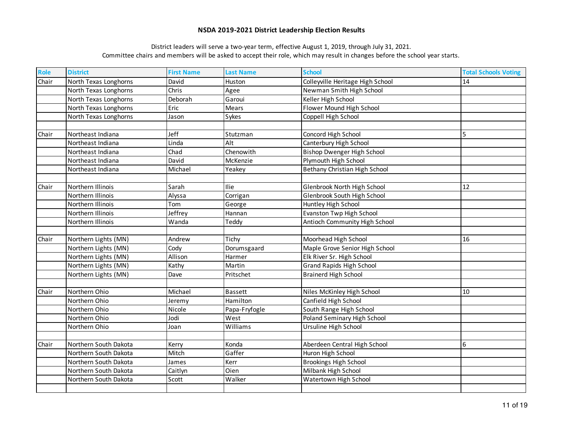| Role  | <b>District</b>       | <b>First Name</b> | <b>Last Name</b> | <b>School</b>                     | <b>Total Schools Voting</b> |
|-------|-----------------------|-------------------|------------------|-----------------------------------|-----------------------------|
| Chair | North Texas Longhorns | David             | Huston           | Colleyville Heritage High School  | 14                          |
|       | North Texas Longhorns | Chris             | Agee             | Newman Smith High School          |                             |
|       | North Texas Longhorns | Deborah           | Garoui           | Keller High School                |                             |
|       | North Texas Longhorns | Eric              | Mears            | Flower Mound High School          |                             |
|       | North Texas Longhorns | Jason             | Sykes            | Coppell High School               |                             |
|       |                       |                   |                  |                                   |                             |
| Chair | Northeast Indiana     | Jeff              | Stutzman         | Concord High School               | 5                           |
|       | Northeast Indiana     | Linda             | Alt              | Canterbury High School            |                             |
|       | Northeast Indiana     | Chad              | Chenowith        | <b>Bishop Dwenger High School</b> |                             |
|       | Northeast Indiana     | David             | McKenzie         | Plymouth High School              |                             |
|       | Northeast Indiana     | Michael           | Yeakey           | Bethany Christian High School     |                             |
|       |                       |                   |                  |                                   |                             |
| Chair | Northern Illinois     | Sarah             | <b>Ilie</b>      | Glenbrook North High School       | 12                          |
|       | Northern Illinois     | Alyssa            | Corrigan         | Glenbrook South High School       |                             |
|       | Northern Illinois     | Tom               | George           | Huntley High School               |                             |
|       | Northern Illinois     | Jeffrey           | Hannan           | Evanston Twp High School          |                             |
|       | Northern Illinois     | Wanda             | Teddy            | Antioch Community High School     |                             |
|       |                       |                   |                  |                                   |                             |
| Chair | Northern Lights (MN)  | Andrew            | Tichy            | Moorhead High School              | 16                          |
|       | Northern Lights (MN)  | Cody              | Dorumsgaard      | Maple Grove Senior High School    |                             |
|       | Northern Lights (MN)  | Allison           | Harmer           | Elk River Sr. High School         |                             |
|       | Northern Lights (MN)  | Kathy             | Martin           | Grand Rapids High School          |                             |
|       | Northern Lights (MN)  | Dave              | Pritschet        | <b>Brainerd High School</b>       |                             |
|       |                       |                   |                  |                                   |                             |
| Chair | Northern Ohio         | Michael           | Bassett          | Niles McKinley High School        | 10                          |
|       | Northern Ohio         | Jeremy            | Hamilton         | Canfield High School              |                             |
|       | Northern Ohio         | Nicole            | Papa-Fryfogle    | South Range High School           |                             |
|       | Northern Ohio         | Jodi              | West             | Poland Seminary High School       |                             |
|       | Northern Ohio         | Joan              | Williams         | Ursuline High School              |                             |
|       |                       |                   |                  |                                   |                             |
| Chair | Northern South Dakota | Kerry             | Konda            | Aberdeen Central High School      | 6                           |
|       | Northern South Dakota | Mitch             | Gaffer           | Huron High School                 |                             |
|       | Northern South Dakota | James             | Kerr             | <b>Brookings High School</b>      |                             |
|       | Northern South Dakota | Caitlyn           | Oien             | Milbank High School               |                             |
|       | Northern South Dakota | Scott             | Walker           | Watertown High School             |                             |
|       |                       |                   |                  |                                   |                             |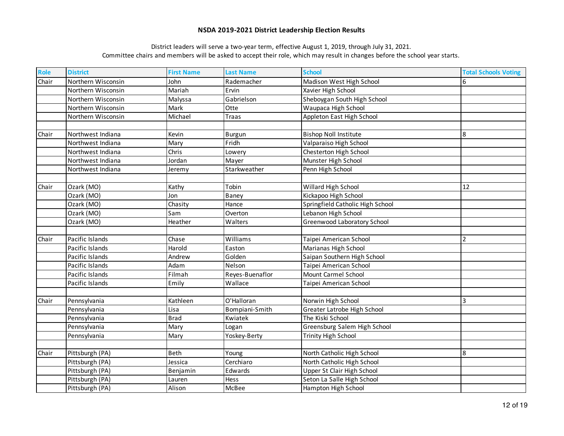| Role  | <b>District</b>    | <b>First Name</b> | <b>Last Name</b> | <b>School</b>                    | <b>Total Schools Voting</b> |
|-------|--------------------|-------------------|------------------|----------------------------------|-----------------------------|
| Chair | Northern Wisconsin | John              | Rademacher       | Madison West High School         | 6                           |
|       | Northern Wisconsin | Mariah            | Ervin            | Xavier High School               |                             |
|       | Northern Wisconsin | Malyssa           | Gabrielson       | Sheboygan South High School      |                             |
|       | Northern Wisconsin | Mark              | Otte             | Waupaca High School              |                             |
|       | Northern Wisconsin | Michael           | <b>Traas</b>     | Appleton East High School        |                             |
|       |                    |                   |                  |                                  |                             |
| Chair | Northwest Indiana  | Kevin             | Burgun           | <b>Bishop Noll Institute</b>     | 8                           |
|       | Northwest Indiana  | Mary              | Fridh            | Valparaiso High School           |                             |
|       | Northwest Indiana  | Chris             | Lowery           | Chesterton High School           |                             |
|       | Northwest Indiana  | Jordan            | Mayer            | Munster High School              |                             |
|       | Northwest Indiana  | Jeremy            | Starkweather     | Penn High School                 |                             |
|       |                    |                   |                  |                                  |                             |
| Chair | Ozark (MO)         | Kathy             | Tobin            | Willard High School              | 12                          |
|       | Ozark (MO)         | Jon               | Baney            | Kickapoo High School             |                             |
|       | Ozark (MO)         | Chasity           | Hance            | Springfield Catholic High School |                             |
|       | Ozark (MO)         | Sam               | Overton          | Lebanon High School              |                             |
|       | Ozark (MO)         | Heather           | Walters          | Greenwood Laboratory School      |                             |
|       |                    |                   |                  |                                  |                             |
| Chair | Pacific Islands    | Chase             | Williams         | Taipei American School           | $\overline{2}$              |
|       | Pacific Islands    | Harold            | Easton           | Marianas High School             |                             |
|       | Pacific Islands    | Andrew            | Golden           | Saipan Southern High School      |                             |
|       | Pacific Islands    | Adam              | Nelson           | Taipei American School           |                             |
|       | Pacific Islands    | Filmah            | Reyes-Buenaflor  | Mount Carmel School              |                             |
|       | Pacific Islands    | Emily             | Wallace          | Taipei American School           |                             |
|       |                    |                   |                  |                                  |                             |
| Chair | Pennsylvania       | Kathleen          | O'Halloran       | Norwin High School               | 3                           |
|       | Pennsylvania       | Lisa              | Bompiani-Smith   | Greater Latrobe High School      |                             |
|       | Pennsylvania       | <b>Brad</b>       | Kwiatek          | The Kiski School                 |                             |
|       | Pennsylvania       | Mary              | Logan            | Greensburg Salem High School     |                             |
|       | Pennsylvania       | Mary              | Yoskey-Berty     | <b>Trinity High School</b>       |                             |
|       |                    |                   |                  |                                  |                             |
| Chair | Pittsburgh (PA)    | <b>Beth</b>       | Young            | North Catholic High School       | 8                           |
|       | Pittsburgh (PA)    | Jessica           | Cerchiaro        | North Catholic High School       |                             |
|       | Pittsburgh (PA)    | Benjamin          | Edwards          | Upper St Clair High School       |                             |
|       | Pittsburgh (PA)    | Lauren            | Hess             | Seton La Salle High School       |                             |
|       | Pittsburgh (PA)    | Alison            | McBee            | Hampton High School              |                             |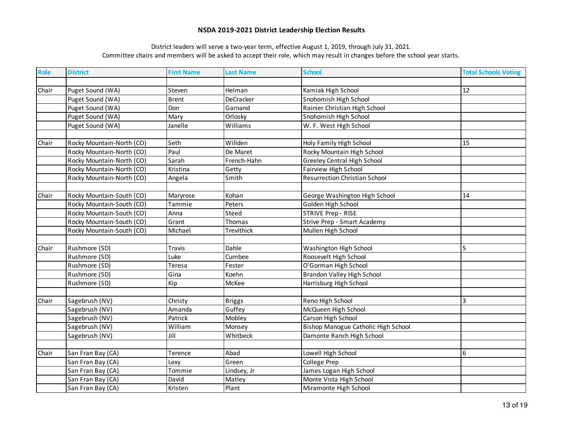| <b>Role</b> | <b>District</b>           | <b>First Name</b> | <b>Last Name</b> | <b>School</b>                        | <b>Total Schools Voting</b> |
|-------------|---------------------------|-------------------|------------------|--------------------------------------|-----------------------------|
|             |                           |                   |                  |                                      |                             |
| Chair       | Puget Sound (WA)          | Steven            | Helman           | Kamiak High School                   | 12                          |
|             | Puget Sound (WA)          | <b>Brent</b>      | DeCracker        | Snohomish High School                |                             |
|             | Puget Sound (WA)          | Don               | Garnand          | Rainier Christian High School        |                             |
|             | Puget Sound (WA)          | Mary              | Orlosky          | Snohomish High School                |                             |
|             | Puget Sound (WA)          | Janelle           | Williams         | W. F. West High School               |                             |
|             |                           |                   |                  |                                      |                             |
| Chair       | Rocky Mountain-North (CO) | Seth              | Willden          | Holy Family High School              | 15                          |
|             | Rocky Mountain-North (CO) | Paul              | De Maret         | Rocky Mountain High School           |                             |
|             | Rocky Mountain-North (CO) | Sarah             | French-Hahn      | <b>Greeley Central High School</b>   |                             |
|             | Rocky Mountain-North (CO) | Kristina          | Getty            | Fairview High School                 |                             |
|             | Rocky Mountain-North (CO) | Angela            | Smith            | <b>Resurrection Christian School</b> |                             |
|             |                           |                   |                  |                                      |                             |
| Chair       | Rocky Mountain-South (CO) | Maryrose          | Kohan            | George Washington High School        | 14                          |
|             | Rocky Mountain-South (CO) | Tammie            | Peters           | Golden High School                   |                             |
|             | Rocky Mountain-South (CO) | Anna              | Steed            | <b>STRIVE Prep - RISE</b>            |                             |
|             | Rocky Mountain-South (CO) | Grant             | Thomas           | Strive Prep - Smart Academy          |                             |
|             | Rocky Mountain-South (CO) | Michael           | Trevithick       | Mullen High School                   |                             |
|             |                           |                   |                  |                                      |                             |
| Chair       | Rushmore (SD)             | Travis            | Dahle            | Washington High School               | 5                           |
|             | Rushmore (SD)             | Luke              | Cumbee           | Roosevelt High School                |                             |
|             | Rushmore (SD)             | Teresa            | Fester           | O'Gorman High School                 |                             |
|             | Rushmore (SD)             | Gina              | Koehn            | Brandon Valley High School           |                             |
|             | Rushmore (SD)             | Kip               | McKee            | Harrisburg High School               |                             |
|             |                           |                   |                  |                                      |                             |
| Chair       | Sagebrush (NV)            | Christy           | <b>Briggs</b>    | Reno High School                     | 3                           |
|             | Sagebrush (NV)            | Amanda            | Guffey           | McQueen High School                  |                             |
|             | Sagebrush (NV)            | Patrick           | Mobley           | Carson High School                   |                             |
|             | Sagebrush (NV)            | William           | Monsey           | Bishop Manogue Catholic High School  |                             |
|             | Sagebrush (NV)            | Jill              | Whitbeck         | Damonte Ranch High School            |                             |
|             |                           |                   |                  |                                      |                             |
| Chair       | San Fran Bay (CA)         | Terence           | Abad             | Lowell High School                   | 6                           |
|             | San Fran Bay (CA)         | Lexv              | Green            | College Prep                         |                             |
|             | San Fran Bay (CA)         | Tommie            | Lindsey, Jr      | James Logan High School              |                             |
|             | San Fran Bay (CA)         | David             | Matley           | Monte Vista High School              |                             |
|             | San Fran Bay (CA)         | Kristen           | Plant            | Miramonte High School                |                             |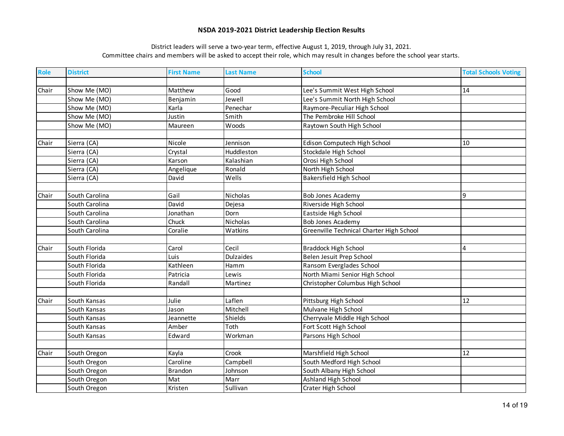| <b>Role</b> | <b>District</b> | <b>First Name</b> | <b>Last Name</b> | <b>School</b>                            | <b>Total Schools Voting</b> |
|-------------|-----------------|-------------------|------------------|------------------------------------------|-----------------------------|
|             |                 |                   |                  |                                          |                             |
| Chair       | Show Me (MO)    | Matthew           | Good             | Lee's Summit West High School            | 14                          |
|             | Show Me (MO)    | Benjamin          | Jewell           | Lee's Summit North High School           |                             |
|             | Show Me (MO)    | Karla             | Penechar         | Raymore-Peculiar High School             |                             |
|             | Show Me (MO)    | Justin            | Smith            | The Pembroke Hill School                 |                             |
|             | Show Me (MO)    | Maureen           | Woods            | Raytown South High School                |                             |
|             |                 |                   |                  |                                          |                             |
| Chair       | Sierra (CA)     | Nicole            | Jennison         | Edison Computech High School             | 10                          |
|             | Sierra (CA)     | Crystal           | Huddleston       | Stockdale High School                    |                             |
|             | Sierra (CA)     | Karson            | Kalashian        | Orosi High School                        |                             |
|             | Sierra (CA)     | Angelique         | Ronald           | North High School                        |                             |
|             | Sierra (CA)     | David             | Wells            | <b>Bakersfield High School</b>           |                             |
|             |                 |                   |                  |                                          |                             |
| Chair       | South Carolina  | Gail              | Nicholas         | <b>Bob Jones Academy</b>                 | 9                           |
|             | South Carolina  | David             | Dejesa           | Riverside High School                    |                             |
|             | South Carolina  | Jonathan          | Dorn             | Eastside High School                     |                             |
|             | South Carolina  | Chuck             | Nicholas         | <b>Bob Jones Academy</b>                 |                             |
|             | South Carolina  | Coralie           | Watkins          | Greenville Technical Charter High School |                             |
|             |                 |                   |                  |                                          |                             |
| Chair       | South Florida   | Carol             | Cecil            | <b>Braddock High School</b>              | 4                           |
|             | South Florida   | Luis              | <b>Dulzaides</b> | Belen Jesuit Prep School                 |                             |
|             | South Florida   | Kathleen          | Hamm             | Ransom Everglades School                 |                             |
|             | South Florida   | Patricia          | Lewis            | North Miami Senior High School           |                             |
|             | South Florida   | Randall           | Martinez         | Christopher Columbus High School         |                             |
|             |                 |                   |                  |                                          |                             |
| Chair       | South Kansas    | Julie             | Laflen           | Pittsburg High School                    | 12                          |
|             | South Kansas    | Jason             | Mitchell         | Mulvane High School                      |                             |
|             | South Kansas    | Jeannette         | Shields          | Cherryvale Middle High School            |                             |
|             | South Kansas    | Amber             | Toth             | Fort Scott High School                   |                             |
|             | South Kansas    | Edward            | Workman          | Parsons High School                      |                             |
|             |                 |                   |                  |                                          |                             |
| Chair       | South Oregon    | Kayla             | Crook            | Marshfield High School                   | 12                          |
|             | South Oregon    | Caroline          | Campbell         | South Medford High School                |                             |
|             | South Oregon    | Brandon           | Johnson          | South Albany High School                 |                             |
|             | South Oregon    | Mat               | Marr             | Ashland High School                      |                             |
|             | South Oregon    | Kristen           | Sullivan         | Crater High School                       |                             |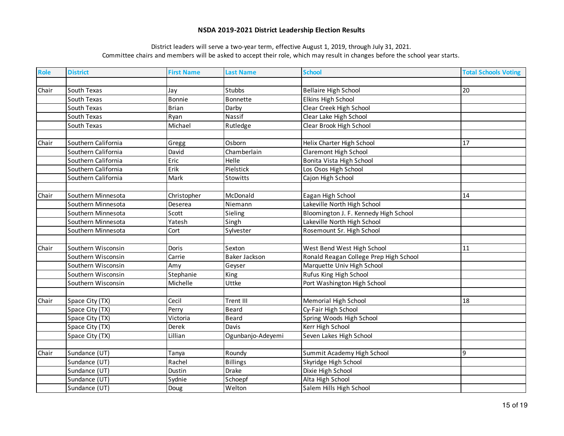| <b>Role</b> | <b>District</b>     | <b>First Name</b> | <b>Last Name</b>     | <b>School</b>                          | <b>Total Schools Voting</b> |
|-------------|---------------------|-------------------|----------------------|----------------------------------------|-----------------------------|
|             |                     |                   |                      |                                        |                             |
| Chair       | South Texas         | Jay               | <b>Stubbs</b>        | <b>Bellaire High School</b>            | 20                          |
|             | South Texas         | <b>Bonnie</b>     | <b>Bonnette</b>      | Elkins High School                     |                             |
|             | South Texas         | <b>Brian</b>      | Darby                | Clear Creek High School                |                             |
|             | South Texas         | Ryan              | Nassif               | Clear Lake High School                 |                             |
|             | South Texas         | Michael           | Rutledge             | Clear Brook High School                |                             |
|             |                     |                   |                      |                                        |                             |
| Chair       | Southern California | Gregg             | Osborn               | Helix Charter High School              | 17                          |
|             | Southern California | David             | Chamberlain          | Claremont High School                  |                             |
|             | Southern California | Eric              | Helle                | Bonita Vista High School               |                             |
|             | Southern California | Erik              | Pielstick            | Los Osos High School                   |                             |
|             | Southern California | Mark              | Stowitts             | Cajon High School                      |                             |
|             |                     |                   |                      |                                        |                             |
| Chair       | Southern Minnesota  | Christopher       | McDonald             | Eagan High School                      | 14                          |
|             | Southern Minnesota  | Deserea           | Niemann              | Lakeville North High School            |                             |
|             | Southern Minnesota  | Scott             | Sieling              | Bloomington J. F. Kennedy High School  |                             |
|             | Southern Minnesota  | Yatesh            | Singh                | Lakeville North High School            |                             |
|             | Southern Minnesota  | Cort              | Sylvester            | Rosemount Sr. High School              |                             |
|             |                     |                   |                      |                                        |                             |
| Chair       | Southern Wisconsin  | <b>Doris</b>      | Sexton               | West Bend West High School             | 11                          |
|             | Southern Wisconsin  | Carrie            | <b>Baker Jackson</b> | Ronald Reagan College Prep High School |                             |
|             | Southern Wisconsin  | Amy               | Geyser               | Marquette Univ High School             |                             |
|             | Southern Wisconsin  | Stephanie         | King                 | Rufus King High School                 |                             |
|             | Southern Wisconsin  | Michelle          | Uttke                | Port Washington High School            |                             |
|             |                     |                   |                      |                                        |                             |
| Chair       | Space City (TX)     | Cecil             | <b>Trent III</b>     | Memorial High School                   | 18                          |
|             | Space City (TX)     | Perry             | <b>Beard</b>         | Cy-Fair High School                    |                             |
|             | Space City (TX)     | Victoria          | <b>Beard</b>         | Spring Woods High School               |                             |
|             | Space City (TX)     | <b>Derek</b>      | Davis                | Kerr High School                       |                             |
|             | Space City (TX)     | Lillian           | Ogunbanjo-Adeyemi    | Seven Lakes High School                |                             |
|             |                     |                   |                      |                                        |                             |
| Chair       | Sundance (UT)       | Tanya             | Roundy               | Summit Academy High School             | 9                           |
|             | Sundance (UT)       | Rachel            | <b>Billings</b>      | Skyridge High School                   |                             |
|             | Sundance (UT)       | Dustin            | Drake                | Dixie High School                      |                             |
|             | Sundance (UT)       | Sydnie            | Schoepf              | Alta High School                       |                             |
|             | Sundance (UT)       | Doug              | Welton               | Salem Hills High School                |                             |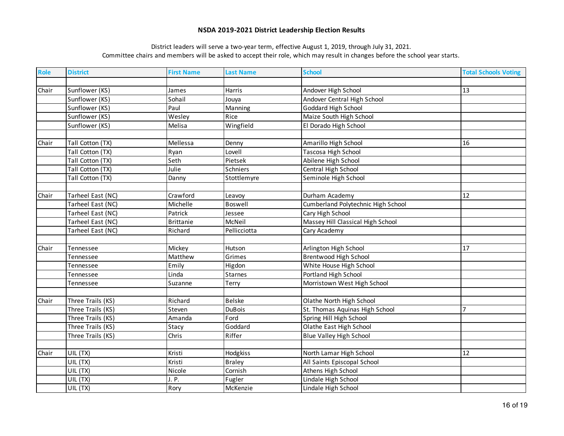| <b>Role</b> | <b>District</b>   | <b>First Name</b> | <b>Last Name</b> | <b>School</b>                      | <b>Total Schools Voting</b> |
|-------------|-------------------|-------------------|------------------|------------------------------------|-----------------------------|
|             |                   |                   |                  |                                    |                             |
| Chair       | Sunflower (KS)    | James             | Harris           | Andover High School                | 13                          |
|             | Sunflower (KS)    | Sohail            | Jouya            | Andover Central High School        |                             |
|             | Sunflower (KS)    | Paul              | Manning          | Goddard High School                |                             |
|             | Sunflower (KS)    | Wesley            | Rice             | Maize South High School            |                             |
|             | Sunflower (KS)    | Melisa            | Wingfield        | El Dorado High School              |                             |
|             |                   |                   |                  |                                    |                             |
| Chair       | Tall Cotton (TX)  | Mellessa          | Denny            | Amarillo High School               | 16                          |
|             | Tall Cotton (TX)  | Ryan              | Lovell           | Tascosa High School                |                             |
|             | Tall Cotton (TX)  | Seth              | Pietsek          | Abilene High School                |                             |
|             | Tall Cotton (TX)  | Julie             | Schniers         | Central High School                |                             |
|             | Tall Cotton (TX)  | Danny             | Stottlemyre      | Seminole High School               |                             |
|             |                   |                   |                  |                                    |                             |
| Chair       | Tarheel East (NC) | Crawford          | Leavoy           | Durham Academy                     | 12                          |
|             | Tarheel East (NC) | Michelle          | Boswell          | Cumberland Polytechnic High School |                             |
|             | Tarheel East (NC) | Patrick           | Jessee           | Cary High School                   |                             |
|             | Tarheel East (NC) | <b>Brittanie</b>  | McNeil           | Massey Hill Classical High School  |                             |
|             | Tarheel East (NC) | Richard           | Pellicciotta     | Cary Academy                       |                             |
|             |                   |                   |                  |                                    |                             |
| Chair       | Tennessee         | Mickey            | Hutson           | Arlington High School              | 17                          |
|             | Tennessee         | Matthew           | Grimes           | <b>Brentwood High School</b>       |                             |
|             | Tennessee         | Emily             | Higdon           | White House High School            |                             |
|             | Tennessee         | Linda             | <b>Starnes</b>   | Portland High School               |                             |
|             | Tennessee         | Suzanne           | Terry            | Morristown West High School        |                             |
|             |                   |                   |                  |                                    |                             |
| Chair       | Three Trails (KS) | Richard           | <b>Belske</b>    | Olathe North High School           |                             |
|             | Three Trails (KS) | Steven            | <b>DuBois</b>    | St. Thomas Aquinas High School     | $\overline{7}$              |
|             | Three Trails (KS) | Amanda            | Ford             | Spring Hill High School            |                             |
|             | Three Trails (KS) | Stacy             | Goddard          | Olathe East High School            |                             |
|             | Three Trails (KS) | Chris             | Riffer           | <b>Blue Valley High School</b>     |                             |
|             |                   |                   |                  |                                    |                             |
| Chair       | UIL (TX)          | Kristi            | Hodgkiss         | North Lamar High School            | 12                          |
|             | UIL (TX)          | Kristi            | <b>Braley</b>    | All Saints Episcopal School        |                             |
|             | UIL (TX)          | Nicole            | Cornish          | Athens High School                 |                             |
|             | UIL (TX)          | J.P.              | Fugler           | Lindale High School                |                             |
|             | UIL (TX)          | Rory              | McKenzie         | Lindale High School                |                             |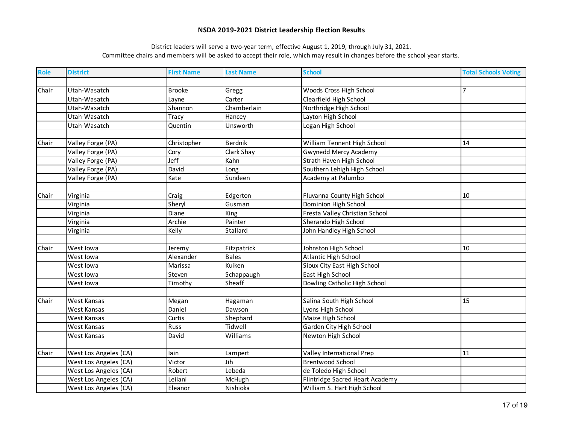| Role  | <b>District</b>       | <b>First Name</b> | <b>Last Name</b> | <b>School</b>                   | <b>Total Schools Voting</b> |
|-------|-----------------------|-------------------|------------------|---------------------------------|-----------------------------|
|       |                       |                   |                  |                                 |                             |
| Chair | Utah-Wasatch          | <b>Brooke</b>     | Gregg            | Woods Cross High School         | $\overline{7}$              |
|       | Utah-Wasatch          | Layne             | Carter           | Clearfield High School          |                             |
|       | Utah-Wasatch          | Shannon           | Chamberlain      | Northridge High School          |                             |
|       | Utah-Wasatch          | Tracy             | Hancey           | Layton High School              |                             |
|       | Utah-Wasatch          | Quentin           | Unsworth         | Logan High School               |                             |
|       |                       |                   |                  |                                 |                             |
| Chair | Valley Forge (PA)     | Christopher       | <b>Berdnik</b>   | William Tennent High School     | 14                          |
|       | Valley Forge (PA)     | Cory              | Clark Shay       | <b>Gwynedd Mercy Academy</b>    |                             |
|       | Valley Forge (PA)     | Jeff              | Kahn             | Strath Haven High School        |                             |
|       | Valley Forge (PA)     | David             | Long             | Southern Lehigh High School     |                             |
|       | Valley Forge (PA)     | Kate              | Sundeen          | Academy at Palumbo              |                             |
|       |                       |                   |                  |                                 |                             |
| Chair | Virginia              | Craig             | Edgerton         | Fluvanna County High School     | 10                          |
|       | Virginia              | Sheryl            | Gusman           | Dominion High School            |                             |
|       | Virginia              | Diane             | King             | Fresta Valley Christian School  |                             |
|       | Virginia              | Archie            | Painter          | Sherando High School            |                             |
|       | Virginia              | Kelly             | Stallard         | John Handley High School        |                             |
|       |                       |                   |                  |                                 |                             |
| Chair | West lowa             | Jeremy            | Fitzpatrick      | Johnston High School            | 10                          |
|       | West lowa             | Alexander         | <b>Bales</b>     | Atlantic High School            |                             |
|       | West lowa             | Marissa           | Kuiken           | Sioux City East High School     |                             |
|       | West lowa             | Steven            | Schappaugh       | East High School                |                             |
|       | West lowa             | Timothy           | Sheaff           | Dowling Catholic High School    |                             |
|       |                       |                   |                  |                                 |                             |
| Chair | West Kansas           | Megan             | Hagaman          | Salina South High School        | 15                          |
|       | West Kansas           | Daniel            | Dawson           | Lyons High School               |                             |
|       | West Kansas           | Curtis            | Shephard         | Maize High School               |                             |
|       | West Kansas           | Russ              | Tidwell          | Garden City High School         |                             |
|       | West Kansas           | David             | Williams         | Newton High School              |                             |
|       |                       |                   |                  |                                 |                             |
| Chair | West Los Angeles (CA) | lain              | Lampert          | Valley International Prep       | 11                          |
|       | West Los Angeles (CA) | Victor            | Jih              | <b>Brentwood School</b>         |                             |
|       | West Los Angeles (CA) | Robert            | Lebeda           | de Toledo High School           |                             |
|       | West Los Angeles (CA) | Leilani           | McHugh           | Flintridge Sacred Heart Academy |                             |
|       | West Los Angeles (CA) | Eleanor           | Nishioka         | William S. Hart High School     |                             |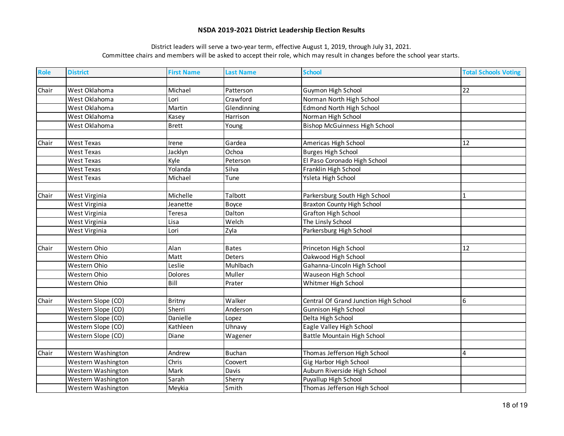| <b>Role</b> | <b>District</b>    | <b>First Name</b> | <b>Last Name</b> | <b>School</b>                         | <b>Total Schools Voting</b> |
|-------------|--------------------|-------------------|------------------|---------------------------------------|-----------------------------|
|             |                    |                   |                  |                                       |                             |
| Chair       | West Oklahoma      | Michael           | Patterson        | Guymon High School                    | 22                          |
|             | West Oklahoma      | Lori              | Crawford         | Norman North High School              |                             |
|             | West Oklahoma      | Martin            | Glendinning      | <b>Edmond North High School</b>       |                             |
|             | West Oklahoma      | Kasey             | Harrison         | Norman High School                    |                             |
|             | West Oklahoma      | <b>Brett</b>      | Young            | <b>Bishop McGuinness High School</b>  |                             |
|             |                    |                   |                  |                                       |                             |
| Chair       | <b>West Texas</b>  | Irene             | Gardea           | Americas High School                  | 12                          |
|             | <b>West Texas</b>  | Jacklyn           | Ochoa            | <b>Burges High School</b>             |                             |
|             | West Texas         | Kyle              | Peterson         | El Paso Coronado High School          |                             |
|             | West Texas         | Yolanda           | Silva            | Franklin High School                  |                             |
|             | West Texas         | Michael           | Tune             | Ysleta High School                    |                             |
|             |                    |                   |                  |                                       |                             |
| Chair       | West Virginia      | Michelle          | Talbott          | Parkersburg South High School         |                             |
|             | West Virginia      | Jeanette          | Boyce            | <b>Braxton County High School</b>     |                             |
|             | West Virginia      | Teresa            | Dalton           | <b>Grafton High School</b>            |                             |
|             | West Virginia      | Lisa              | Welch            | The Linsly School                     |                             |
|             | West Virginia      | Lori              | Zyla             | Parkersburg High School               |                             |
|             |                    |                   |                  |                                       |                             |
| Chair       | Western Ohio       | Alan              | <b>Bates</b>     | Princeton High School                 | 12                          |
|             | Western Ohio       | Matt              | <b>Deters</b>    | Oakwood High School                   |                             |
|             | Western Ohio       | Leslie            | Muhlbach         | Gahanna-Lincoln High School           |                             |
|             | Western Ohio       | Dolores           | Muller           | Wauseon High School                   |                             |
|             | Western Ohio       | Bill              | Prater           | Whitmer High School                   |                             |
|             |                    |                   |                  |                                       |                             |
| Chair       | Western Slope (CO) | <b>Britny</b>     | Walker           | Central Of Grand Junction High School | 6                           |
|             | Western Slope (CO) | Sherri            | Anderson         | <b>Gunnison High School</b>           |                             |
|             | Western Slope (CO) | Danielle          | Lopez            | Delta High School                     |                             |
|             | Western Slope (CO) | Kathleen          | Uhnavy           | Eagle Valley High School              |                             |
|             | Western Slope (CO) | Diane             | Wagener          | <b>Battle Mountain High School</b>    |                             |
|             |                    |                   |                  |                                       |                             |
| Chair       | Western Washington | Andrew            | <b>Buchan</b>    | Thomas Jefferson High School          | $\overline{4}$              |
|             | Western Washington | Chris             | Coovert          | Gig Harbor High School                |                             |
|             | Western Washington | Mark              | Davis            | Auburn Riverside High School          |                             |
|             | Western Washington | Sarah             | Sherry           | Puyallup High School                  |                             |
|             | Western Washington | Meykia            | Smith            | Thomas Jefferson High School          |                             |